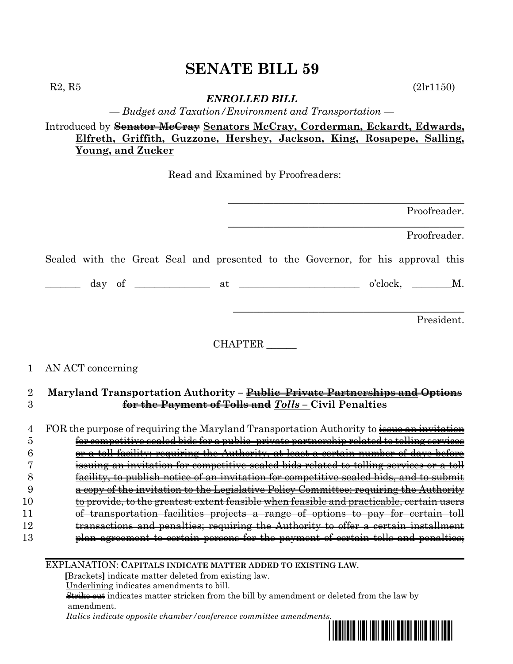$R2, R5$  (2lr1150)

### *ENROLLED BILL*

*— Budget and Taxation/Environment and Transportation —*

# Introduced by **Senator McCray Senators McCray, Corderman, Eckardt, Edwards, Elfreth, Griffith, Guzzone, Hershey, Jackson, King, Rosapepe, Salling, Young, and Zucker**

Read and Examined by Proofreaders:

|                | Proofreader.                                                                                     |
|----------------|--------------------------------------------------------------------------------------------------|
|                | Proofreader.                                                                                     |
|                | Sealed with the Great Seal and presented to the Governor, for his approval this                  |
|                |                                                                                                  |
|                | President.                                                                                       |
|                | CHAPTER                                                                                          |
| 1              | AN ACT concerning                                                                                |
| $\overline{2}$ | Maryland Transportation Authority – Public–Private Partnerships and Options                      |
| 3              | for the Payment of Tolls and Tolls - Civil Penalties                                             |
| 4              | FOR the purpose of requiring the Maryland Transportation Authority to <b>issue an invitation</b> |
| 5              | for competitive sealed bids for a public-private partnership related to tolling services         |
| 6              | or a toll facility; requiring the Authority, at least a certain number of days before            |
| 7              | issuing an invitation for competitive sealed bids related to tolling services or a toll          |
| 8              | <u>facility, to publish notice of an invitation for competitive sealed bids, and to submit</u>   |
| 9              | a copy of the invitation to the Legislative Policy Committee; requiring the Authority            |
| 10             | to provide, to the greatest extent feasible when feasible and practicable, certain users         |
| 11             | of transportation facilities projects a range of options to pay for certain toll                 |
| 12             | transactions and penalties; requiring the Authority to offer a certain installment               |
| 13             | plan agreement to certain persons for the payment of certain tolls and penalties;                |
|                |                                                                                                  |

EXPLANATION: **CAPITALS INDICATE MATTER ADDED TO EXISTING LAW**.

 **[**Brackets**]** indicate matter deleted from existing law.

Underlining indicates amendments to bill.

 Strike out indicates matter stricken from the bill by amendment or deleted from the law by amendment.

 *Italics indicate opposite chamber/conference committee amendments.*

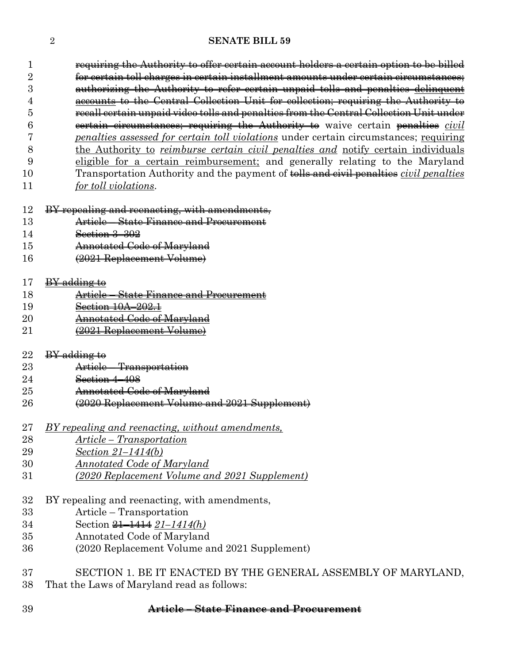requiring the Authority to offer certain account holders a certain option to be billed for certain toll charges in certain installment amounts under certain circumstances; authorizing the Authority to refer certain unpaid tolls and penalties delinquent accounts to the Central Collection Unit for collection; requiring the Authority to recall certain unpaid video tolls and penalties from the Central Collection Unit under certain circumstances; requiring the Authority to waive certain penalties *civil penalties assessed for certain toll violations* under certain circumstances; requiring

- the Authority to *reimburse certain civil penalties and* notify certain individuals eligible for a certain reimbursement; and generally relating to the Maryland Transportation Authority and the payment of tolls and civil penalties *civil penalties*
- *for toll violations*.

| 12 |  |  | BV repeating and reconocting with amondments             |
|----|--|--|----------------------------------------------------------|
|    |  |  | <del>DI repeating and rechaeting, with amendments,</del> |

- Article State Finance and Procurement
- Section 3–302
- Annotated Code of Maryland
- (2021 Replacement Volume)
- BY adding to
- Article State Finance and Procurement
- Section 10A–202.1
- **Annotated Code of Maryland**
- (2021 Replacement Volume)
- $BY$  adding to
- Article Transportation
- Section 4–408
- Annotated Code of Maryland
- (2020 Replacement Volume and 2021 Supplement)
- *BY repealing and reenacting, without amendments,*
- *Article – Transportation*
- *Section 21–1414(b)*
- *Annotated Code of Maryland*
- *(2020 Replacement Volume and 2021 Supplement)*
- BY repealing and reenacting, with amendments,
- Article Transportation
- Section 21–1414 *21–1414(h)*
- Annotated Code of Maryland
- (2020 Replacement Volume and 2021 Supplement)
- SECTION 1. BE IT ENACTED BY THE GENERAL ASSEMBLY OF MARYLAND, That the Laws of Maryland read as follows:

**Article – State Finance and Procurement**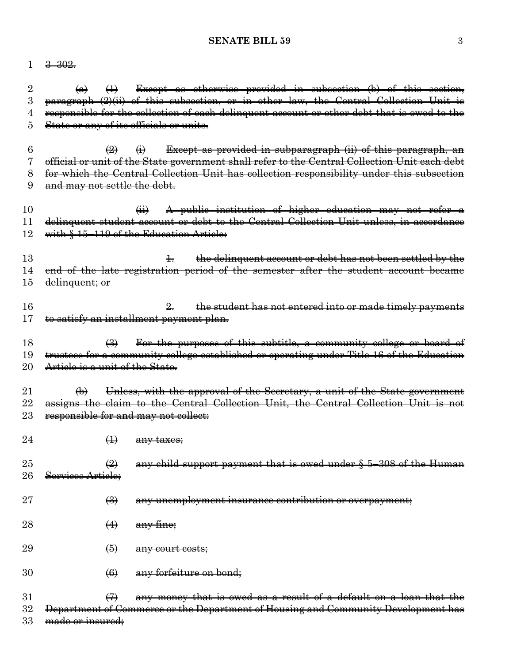#### $1 \frac{3-302}{2}$

 $(a)$   $(1)$  Except as otherwise provided in subsection (b) of this section, paragraph (2)(ii) of this subsection, or in other law, the Central Collection Unit is responsible for the collection of each delinquent account or other debt that is owed to the State or any of its officials or units.

 $\left(2\right)$   $\left(4\right)$  Except as provided in subparagraph (ii) of this paragraph, an official or unit of the State government shall refer to the Central Collection Unit each debt for which the Central Collection Unit has collection responsibility under this subsection and may not settle the debt.

10 (ii) A public institution of higher education may not refer a 11 delinquent student account or debt to the Central Collection Unit unless, in accordance 12 with § 15-119 of the Education Article:

13 1. the delinquent account or debt has not been settled by the 14 end of the late registration period of the semester after the student account became 15 <del>delinquent; or</del>

16 2. the student has not entered into or made timely payments 17 to satisfy an installment payment plan.

18 (3) For the purposes of this subtitle, a community college or board of 19 trustees for a community college established or operating under Title 16 of the Education 20 Article is a unit of the State.

21  $\qquad \qquad \textbf{(b)}$  Unless, with the approval of the Secretary, a unit of the State government 22 assigns the claim to the Central Collection Unit, the Central Collection Unit is not 23 responsible for and may not collect:

- $24$   $\qquad \qquad \text{4}$  any taxes;
- 25  $\left(2\right)$  any child support payment that is owed under § 5–308 of the Human 26 Services Article;
- $27$   $\leftrightarrow$   $\leftrightarrow$  any unemployment insurance contribution or overpayment;
- 28  $(4)$  any fine;
- $29 \qquad \qquad \textcircled{\textcircled{\textcirc}} \qquad \text{any court costs};$
- 30 <del>(6)</del> any forfeiture on bond:

 $31$  (7) any money that is owed as a result of a default on a loan that the 32 Department of Commerce or the Department of Housing and Community Development has 33 made or insured: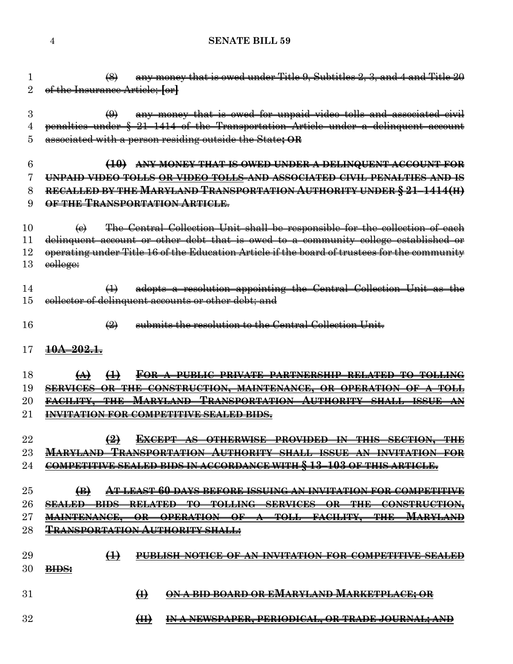- **SENATE BILL 59**
- (8) any money that is owed under Title 9, Subtitles 2, 3, and 4 and Title 20 of the Insurance Article; **[**or**]** (9) any money that is owed for unpaid video tolls and associated civil penalties under § 21–1414 of the Transportation Article under a delinquent account associated with a person residing outside the State**; OR (10) ANY MONEY THAT IS OWED UNDER A DELINQUENT ACCOUNT FOR UNPAID VIDEO TOLLS OR VIDEO TOLLS AND ASSOCIATED CIVIL PENALTIES AND IS RECALLED BY THE MARYLAND TRANSPORTATION AUTHORITY UNDER § 21–1414(H) OF THE TRANSPORTATION ARTICLE**. 10  $\leftarrow$   $\leftarrow$  The Central Collection Unit shall be responsible for the collection of each delinquent account or other debt that is owed to a community college established or operating under Title 16 of the Education Article if the board of trustees for the community 13 college: (1) adopts a resolution appointing the Central Collection Unit as the collector of delinquent accounts or other debt; and (2) submits the resolution to the Central Collection Unit. **10A–202.1. (A) (1) FOR A PUBLIC–PRIVATE PARTNERSHIP RELATED TO TOLLING SERVICES OR THE CONSTRUCTION, MAINTENANCE, OR OPERATION OF A TOLL FACILITY, THE MARYLAND TRANSPORTATION AUTHORITY SHALL ISSUE AN INVITATION FOR COMPETITIVE SEALED BIDS. (2) EXCEPT AS OTHERWISE PROVIDED IN THIS SECTION, THE MARYLAND TRANSPORTATION AUTHORITY SHALL ISSUE AN INVITATION FOR COMPETITIVE SEALED BIDS IN ACCORDANCE WITH § 13–103 OF THIS ARTICLE. (B) AT LEAST 60 DAYS BEFORE ISSUING AN INVITATION FOR COMPETITIVE SEALED BIDS RELATED TO TOLLING SERVICES OR THE CONSTRUCTION, MAINTENANCE, OR OPERATION OF A TOLL FACILITY, THE MARYLAND TRANSPORTATION AUTHORITY SHALL: (1) PUBLISH NOTICE OF AN INVITATION FOR COMPETITIVE SEALED BIDS: (I) ON A BID BOARD OR EMARYLAND MARKETPLACE; OR (II) IN A NEWSPAPER, PERIODICAL, OR TRADE JOURNAL; AND**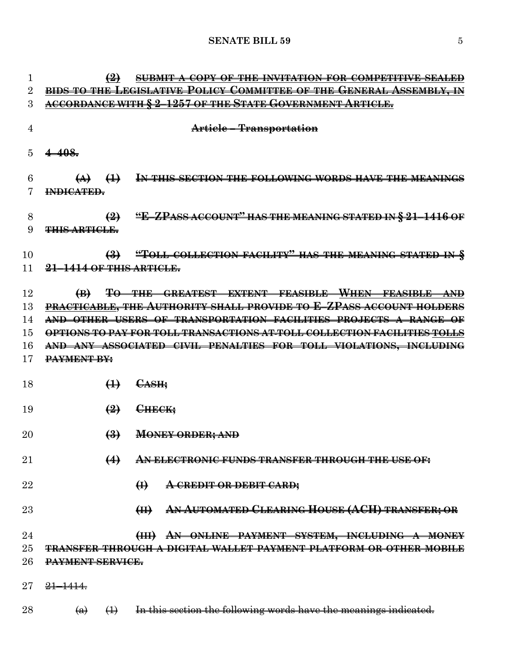| 1              |                                                                             | $\leftrightarrow$                                     | <b>SUBMIT A COPY OF THE INVITATION FOR COMPETITIVE SEALED</b>                                 |  |
|----------------|-----------------------------------------------------------------------------|-------------------------------------------------------|-----------------------------------------------------------------------------------------------|--|
| $\overline{2}$ | <b>BIDS TO THE LEGISLATIVE POLICY COMMITTEE OF THE GENERAL ASSEMBLY. IN</b> |                                                       |                                                                                               |  |
| 3              |                                                                             |                                                       | ACCORDANCE WITH § 2-1257 OF THE STATE GOVERNMENT ARTICLE.                                     |  |
| 4              |                                                                             |                                                       | Article – Transportation                                                                      |  |
| $\overline{5}$ | $4 - 408.$                                                                  |                                                       |                                                                                               |  |
| 6              |                                                                             | $\left(\rightarrow\right)$ $\left(\rightarrow\right)$ | IN THIS SECTION THE FOLLOWING WORDS HAVE THE MEANINGS                                         |  |
|                | INDICATED.                                                                  |                                                       |                                                                                               |  |
|                |                                                                             |                                                       |                                                                                               |  |
| 8              |                                                                             | $\left(2\right)$                                      | <u>"E-ZPASS ACCOUNT" HAS THE MEANING STATED IN § 21–1416 OF</u>                               |  |
| 9              | <del>THIS ARTICLE.</del>                                                    |                                                       |                                                                                               |  |
| 10             |                                                                             | $\left(\frac{3}{2}\right)$                            | "TOLL COLLECTION FACILITY" HAS THE MEANING STATED IN §                                        |  |
| 11             | 21-1414 OF THIS ARTICLE.                                                    |                                                       |                                                                                               |  |
|                |                                                                             |                                                       |                                                                                               |  |
| 12             | $\bigoplus$                                                                 |                                                       | TO THE GREATEST EXTENT FEASIBLE WHEN FEASIBLE AND                                             |  |
| 13             |                                                                             |                                                       | PRACTICABLE, THE AUTHORITY SHALL PROVIDE TO E-ZPASS ACCOUNT HOLDERS                           |  |
| 14             |                                                                             |                                                       | AND OTHER USERS OF TRANSPORTATION FACILITIES PROJECTS A RANGE OF                              |  |
| 15             |                                                                             |                                                       | OPTIONS TO PAY FOR TOLL TRANSACTIONS AT TOLL COLLECTION FACILITIES TOLLS                      |  |
| 16             |                                                                             |                                                       | AND ANY ASSOCIATED CIVIL PENALTIES FOR TOLL VIOLATIONS, INCLUDING                             |  |
| 17             | PAYMENT BY:                                                                 |                                                       |                                                                                               |  |
| 18             |                                                                             | $\bigoplus$                                           | <del>CASH;</del>                                                                              |  |
| 19             |                                                                             | $\left(\frac{9}{2}\right)$                            | CHECK:                                                                                        |  |
| 20             |                                                                             | $\biguplus$                                           | <b>MONEY ORDER; AND</b>                                                                       |  |
| 21             |                                                                             | $\leftrightarrow$                                     | <u>AN ELECTRONIC FUNDS TRANSFER TUROUGH THE USE</u>                                           |  |
| 22             |                                                                             |                                                       | $\bigoplus$<br>A CREDIT OR DEBIT CARD;                                                        |  |
| 23             |                                                                             |                                                       | AN AUTOMATED CLEARING HOUSE (ACH) TRANSFER; OR<br>H                                           |  |
| 24             |                                                                             |                                                       | (III) AN ONLINE PAYMENT SYSTEM, INCLUDING A MONEY                                             |  |
| 25             |                                                                             |                                                       | ANSFER THROUGH A DIGITAL WALLET PAYMENT PLATFORM OR OTHER MOBILE                              |  |
| 26             | <del>PAYMENT SERVICE.</del>                                                 |                                                       |                                                                                               |  |
| $27\,$         | <del>21–1414.</del>                                                         |                                                       |                                                                                               |  |
| 28             | $\left( a\right)$                                                           |                                                       | $\left( \frac{1}{1} \right)$ In this section the following words have the meanings indicated. |  |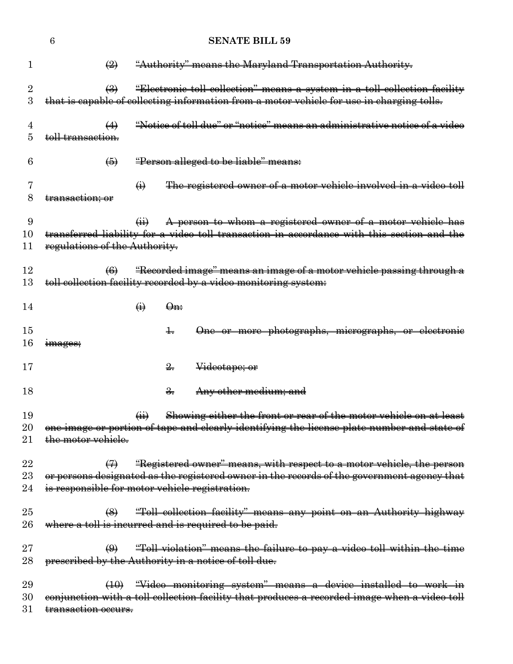|                 | 6                                                                                  | <b>SENATE BILL 59</b>                                                                                                                                                  |
|-----------------|------------------------------------------------------------------------------------|------------------------------------------------------------------------------------------------------------------------------------------------------------------------|
| 1               | $\left(\frac{1}{2}\right)$                                                         | "Authority" means the Maryland Transportation Authority.                                                                                                               |
| $\sqrt{2}$<br>3 | $\left(\frac{1}{2}\right)$                                                         | "Electronic toll collection" means a system in a toll collection facility<br>that is capable of collecting information from a motor vehicle for use in charging tolls. |
| 4<br>5          | $\leftrightarrow$<br>toll transaction.                                             | "Notice of toll due" or "notice" means an administrative notice of a video                                                                                             |
| 6               | $\left( 5 \right)$                                                                 | "Person alleged to be liable" means:                                                                                                                                   |
| 7<br>8          | $\bigoplus$<br>transaction; or                                                     | The registered owner of a motor vehicle involved in a video toll                                                                                                       |
| 9<br>10<br>11   | $\overline{a}$<br>regulations of the Authority.                                    | A person to whom a registered owner of a motor vehicle has<br>transferred liability for a video toll transaction in accordance with this section and the               |
| 12<br>13        | $\left( 6 \right)$                                                                 | "Recorded image" means an image of a motor vehicle passing through a<br>toll collection facility recorded by a video monitoring system:                                |
| 14              | $\Theta$ n:<br>$\bigoplus$                                                         |                                                                                                                                                                        |
| 15<br>16        | ╈<br><del>images;</del>                                                            | One or more photographs, micrographs, or electronic                                                                                                                    |
| 17              | $\frac{2}{2}$                                                                      | Videotape; or                                                                                                                                                          |
| 18              | <del>3.</del>                                                                      | Any other medium; and                                                                                                                                                  |
| 19<br>20<br>21  | $\left( \overline{u} \right)$<br>the motor vehicle.                                | Showing either the front or rear of the motor vehicle on at least<br>one image or portion of tape and clearly identifying the license plate number and state of        |
| 22<br>23<br>24  | $\leftrightarrow$<br>is responsible for motor vehicle registration.                | "Registered owner" means, with respect to a motor vehicle, the person<br>or persons designated as the registered owner in the records of the government agency that    |
| 25<br>26        | $\left(\frac{8}{2}\right)$<br>where a toll is incurred and is required to be paid. | "Toll collection facility" means any point on an Authority highway                                                                                                     |
| $27\,$<br>28    | $\bigoplus$<br>prescribed by the Authority in a notice of toll due.                | "Toll violation" means the failure to pay a video toll within the time                                                                                                 |
| 29<br>30<br>31  | transaction occurs.                                                                | (10) "Video monitoring system" means a device installed to work in<br>conjunction with a toll collection facility that produces a recorded image when a video toll     |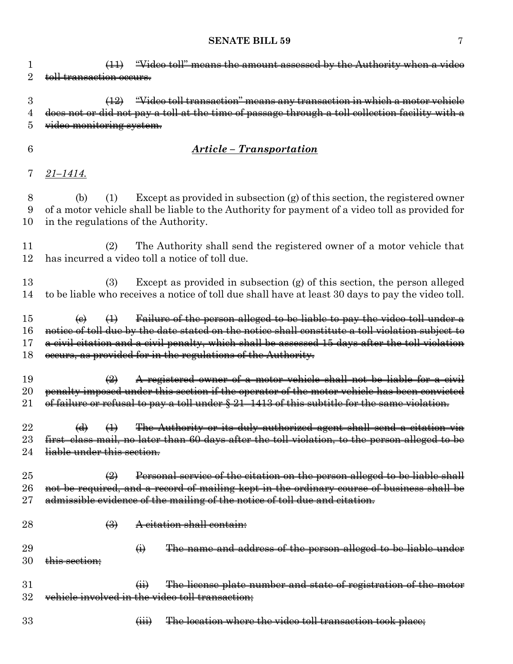1 (11) "Video toll" means the amount assessed by the Authority when a video 2 toll transaction occurs. 3 (12) "Video toll transaction" means any transaction in which a motor vehicle 4 does not or did not pay a toll at the time of passage through a toll collection facility with a 5 video monitoring system. 6 *Article – Transportation* 7 *21–1414.* 8 (b) (1) Except as provided in subsection (g) of this section, the registered owner 9 of a motor vehicle shall be liable to the Authority for payment of a video toll as provided for 10 in the regulations of the Authority. 11 (2) The Authority shall send the registered owner of a motor vehicle that 12 has incurred a video toll a notice of toll due. 13 (3) Except as provided in subsection (g) of this section, the person alleged 14 to be liable who receives a notice of toll due shall have at least 30 days to pay the video toll. 15  $\leftrightarrow$   $\leftrightarrow$   $\leftrightarrow$  Failure of the person alleged to be liable to pay the video toll under a 16 notice of toll due by the date stated on the notice shall constitute a toll violation subject to 17 a civil citation and a civil penalty, which shall be assessed 15 days after the toll violation 18 occurs, as provided for in the regulations of the Authority. 19 (2) A registered owner of a motor vehicle shall not be liable for a civil 20 penalty imposed under this section if the operator of the motor vehicle has been convicted 21 of failure or refusal to pay a toll under § 21–1413 of this subtitle for the same violation. 22  $\left(\mathrm{d}\right)$   $\left(\mathrm{1}\right)$  The Authority or its duly authorized agent shall send a citation via 23 first–class mail, no later than 60 days after the toll violation, to the person alleged to be 24 liable under this section. 25  $\left(2\right)$  Personal service of the citation on the person alleged to be liable shall 26 not be required, and a record of mailing kept in the ordinary course of business shall be 27 admissible evidence of the mailing of the notice of toll due and citation. 28 (3) A citation shall contain:  $29 \qquad \qquad (i) \qquad$  The name and address of the person alleged to be liable under  $30 \quad \text{this section}$ 31 (ii) The license plate number and state of registration of the motor 32 vehicle involved in the video toll transaction; 33 **(iii)** The location where the video toll transaction took place;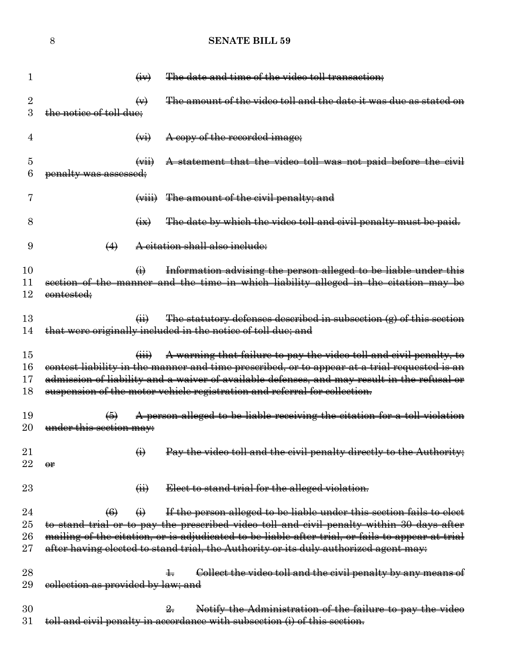| 1                                |                                    | $\left(\frac{1}{2}W\right)$              | The date and time of the video toll transaction;                                                                                                                                                                                                                                                                                                              |
|----------------------------------|------------------------------------|------------------------------------------|---------------------------------------------------------------------------------------------------------------------------------------------------------------------------------------------------------------------------------------------------------------------------------------------------------------------------------------------------------------|
| $\overline{2}$<br>3              | <del>the notice of toll due:</del> | $\leftrightarrow$                        | The amount of the video toll and the date it was due                                                                                                                                                                                                                                                                                                          |
| 4                                |                                    | $\left(\frac{1}{2} \right)$              | A copy of the recorded image;                                                                                                                                                                                                                                                                                                                                 |
| 5<br>6                           | penalty was assessed;              | $\left(\frac{1}{2} \right)$              | A statement that the video toll was not paid before the civil                                                                                                                                                                                                                                                                                                 |
|                                  |                                    | $\overline{(\overline{v}+\overline{u})}$ | <del>The amount of the civil penalty; and</del>                                                                                                                                                                                                                                                                                                               |
| 8                                |                                    | $\leftrightarrow$                        | The date by which the video toll and civil penalty must be paid.                                                                                                                                                                                                                                                                                              |
| 9                                | $\leftrightarrow$                  |                                          | A citation shall also include:                                                                                                                                                                                                                                                                                                                                |
| 10<br>11<br>12                   | eontested;                         | $\leftrightarrow$                        | Information advising the person alleged to be liable under this<br>section of the manner and the time in which liability alleged in the citation may be                                                                                                                                                                                                       |
| 13<br>14                         |                                    | $\overline{41}$                          | The statutory defenses described in subsection $(g)$ of this section<br>that were originally included in the notice of toll due; and                                                                                                                                                                                                                          |
| 15<br>16<br>17<br>18             |                                    | $\overline{(\mathbf{iii})}$              | A warning that failure to pay the video toll and civil penalty, to<br>contest liability in the manner and time prescribed, or to appear at a trial requested is an<br>admission of liability and a waiver of available defenses, and may result in the refusal or<br>suspension of the motor vehicle registration and referral for collection.                |
| 19<br>20                         | under this section may:            |                                          | A person alleged to be liable receiving the citation for a toll violation                                                                                                                                                                                                                                                                                     |
| $21\,$<br>$22\,$                 | θr                                 | $\bigoplus$                              | Pay the video toll and the civil penalty directly to the Authority;                                                                                                                                                                                                                                                                                           |
| 23                               |                                    | $\overline{a}$                           | Elect to stand trial for the alleged violation.                                                                                                                                                                                                                                                                                                               |
| 24<br>$25\,$<br>$26\,$<br>$27\,$ | $\left( 6 \right)$                 | $\Theta$                                 | If the person alleged to be liable under this section fails to elect<br>to stand trial or to pay the prescribed video toll and civil penalty within 30 days after<br>mailing of the citation, or is adjudicated to be liable after trial, or fails to appear at trial<br>after having elected to stand trial, the Authority or its duly authorized agent may: |
| $^{28}$<br>29                    | collection as provided by law; and |                                          | Collect the video toll and the civil penalty by any means of                                                                                                                                                                                                                                                                                                  |
| 30<br>$31\,$                     |                                    |                                          | Notify the Administration of the failure to pay the video<br>toll and civil penalty in accordance with subsection (i) of this section.                                                                                                                                                                                                                        |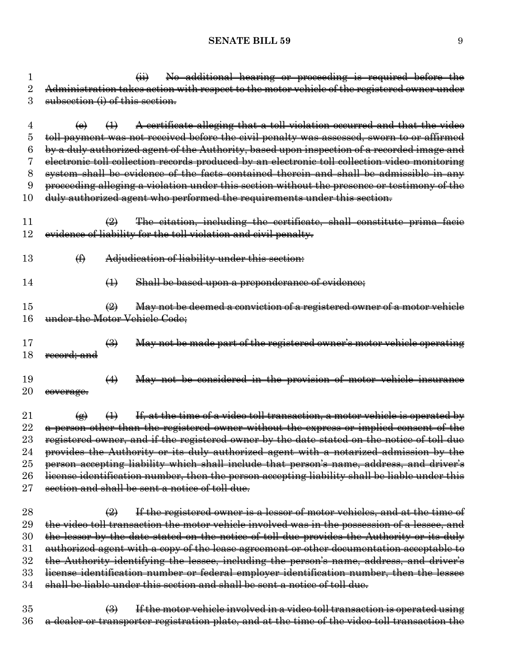| 1              |                                 |                            | No additional hearing or proceeding is required before the<br>$\overline{(+)}$                                                                                        |
|----------------|---------------------------------|----------------------------|-----------------------------------------------------------------------------------------------------------------------------------------------------------------------|
| $\overline{2}$ |                                 |                            | Administration takes action with respect to the motor vehicle of the registered owner under                                                                           |
| 3              | subsection (i) of this section. |                            |                                                                                                                                                                       |
|                |                                 |                            |                                                                                                                                                                       |
| 4<br>5         | (e)                             | $\leftrightarrow$          | A certificate alleging that a toll violation occurred and that the video<br>toll payment was not received before the civil penalty was assessed, sworn to or affirmed |
| 6              |                                 |                            | by a duly authorized agent of the Authority, based upon inspection of a recorded image and                                                                            |
| 7              |                                 |                            | electronic toll collection records produced by an electronic toll collection video monitoring                                                                         |
| 8              |                                 |                            | system shall be evidence of the facts contained therein and shall be admissible in any                                                                                |
| 9              |                                 |                            | proceeding alleging a violation under this section without the presence or testimony of the                                                                           |
| 10             |                                 |                            | duly authorized agent who performed the requirements under this section.                                                                                              |
|                |                                 |                            |                                                                                                                                                                       |
| 11             |                                 | $\left(\frac{2}{2}\right)$ | The citation, including the certificate, shall constitute prima facie                                                                                                 |
| 12             |                                 |                            | evidence of liability for the toll violation and civil penalty.                                                                                                       |
|                |                                 |                            |                                                                                                                                                                       |
| 13             | $\bigoplus$                     |                            | Adjudication of liability under this section:                                                                                                                         |
|                |                                 |                            |                                                                                                                                                                       |
| 14             |                                 | $\bigoplus$                | Shall be based upon a preponderance of evidence;                                                                                                                      |
| 15             |                                 | $\left(\frac{1}{2}\right)$ | May not be deemed a conviction of a registered owner of a motor vehicle                                                                                               |
| 16             |                                 |                            | under the Motor Vehicle Code:                                                                                                                                         |
|                |                                 |                            |                                                                                                                                                                       |
| 17             |                                 | $\left(\frac{1}{2}\right)$ | May not be made part of the registered owner's motor vehicle operating                                                                                                |
| 18             | record; and                     |                            |                                                                                                                                                                       |
|                |                                 |                            |                                                                                                                                                                       |
| 19             |                                 | $\leftrightarrow$          | May not be considered in the provision of motor vehicle insurance                                                                                                     |
| $20\,$         | eoverage.                       |                            |                                                                                                                                                                       |
| 21             | $\left( \bigoplus \right)$      | $\bigoplus$                | If, at the time of a video toll transaction, a motor vehicle is operated by                                                                                           |
| 22             |                                 |                            | a person other than the registered owner without the express or implied consent of the                                                                                |
| $\rm 23$       |                                 |                            | registered owner, and if the registered owner by the date stated on the notice of toll due                                                                            |
| 24             |                                 |                            | provides the Authority or its duly authorized agent with a notarized admission by the                                                                                 |
| 25             |                                 |                            | person accepting liability which shall include that person's name, address, and driver's                                                                              |
| 26             |                                 |                            | license identification number, then the person accepting liability shall be liable under this                                                                         |
| $27\,$         |                                 |                            | section and shall be sent a notice of toll due.                                                                                                                       |
|                |                                 |                            |                                                                                                                                                                       |
| 28             |                                 | $\left(\frac{1}{2}\right)$ | If the registered owner is a lessor of motor vehicles, and at the time of                                                                                             |
| 29             |                                 |                            | the video toll transaction the motor vehicle involved was in the possession of a lessee, and                                                                          |
| 30             |                                 |                            | the lessor by the date stated on the notice of toll due provides the Authority or its duly                                                                            |
| $31\,$         |                                 |                            | authorized agent with a copy of the lease agreement or other documentation acceptable to                                                                              |
| $32\,$         |                                 |                            | the Authority identifying the lessee, including the person's name, address, and driver's                                                                              |
| 33             |                                 |                            | license identification number or federal employer identification number, then the lessee                                                                              |
| 34             |                                 |                            | shall be liable under this section and shall be sent a notice of toll due.                                                                                            |
|                |                                 |                            |                                                                                                                                                                       |

35 (3) If the motor vehicle involved in a video toll transaction is operated using 36 a dealer or transporter registration plate, and at the time of the video toll transaction the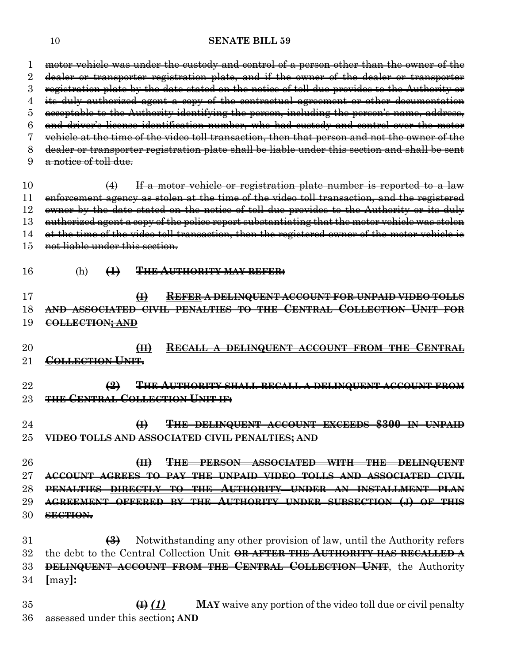motor vehicle was under the custody and control of a person other than the owner of the dealer or transporter registration plate, and if the owner of the dealer or transporter registration plate by the date stated on the notice of toll due provides to the Authority or its duly authorized agent a copy of the contractual agreement or other documentation acceptable to the Authority identifying the person, including the person's name, address, and driver's license identification number, who had custody and control over the motor vehicle at the time of the video toll transaction, then that person and not the owner of the dealer or transporter registration plate shall be liable under this section and shall be sent a notice of toll due. 10 (4) If a motor vehicle or registration plate number is reported to a law enforcement agency as stolen at the time of the video toll transaction, and the registered 12 owner by the date stated on the notice of toll due provides to the Authority or its duly 13 authorized agent a copy of the police report substantiating that the motor vehicle was stolen 14 at the time of the video toll transaction, then the registered owner of the motor vehicle is not liable under this section. (h) **(1) THE AUTHORITY MAY REFER: (I) REFER A DELINQUENT ACCOUNT FOR UNPAID VIDEO TOLLS AND ASSOCIATED CIVIL PENALTIES TO THE CENTRAL COLLECTION UNIT FOR COLLECTION; AND (II) RECALL A DELINQUENT ACCOUNT FROM THE CENTRAL COLLECTION UNIT. (2) THE AUTHORITY SHALL RECALL A DELINQUENT ACCOUNT FROM THE CENTRAL COLLECTION UNIT IF: (I) THE DELINQUENT ACCOUNT EXCEEDS \$300 IN UNPAID VIDEO TOLLS AND ASSOCIATED CIVIL PENALTIES; AND (II) THE PERSON ASSOCIATED WITH THE DELINQUENT ACCOUNT AGREES TO PAY THE UNPAID VIDEO TOLLS AND ASSOCIATED CIVIL PENALTIES DIRECTLY TO THE AUTHORITY UNDER AN INSTALLMENT PLAN AGREEMENT OFFERED BY THE AUTHORITY UNDER SUBSECTION (J) OF THIS SECTION. (3)** Notwithstanding any other provision of law, until the Authority refers the debt to the Central Collection Unit **OR AFTER THE AUTHORITY HAS RECALLED A DELINQUENT ACCOUNT FROM THE CENTRAL COLLECTION UNIT**, the Authority **[**may**]: (I)** *(1)* **MAY** waive any portion of the video toll due or civil penalty

assessed under this section**; AND**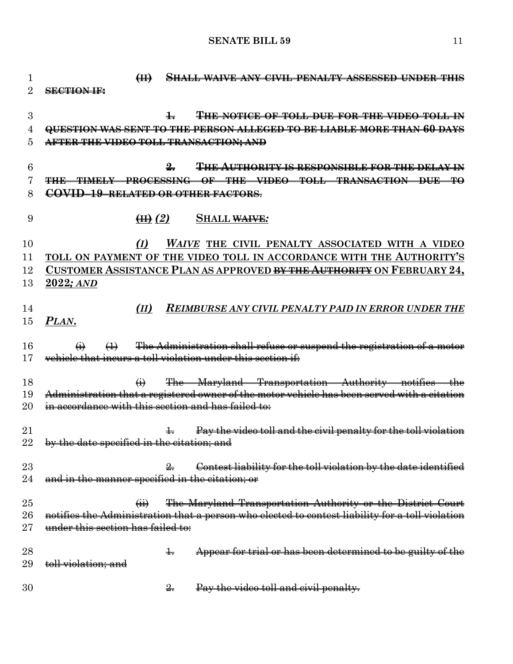**(II) SHALL WAIVE ANY CIVIL PENALTY ASSESSED UNDER THIS SECTION IF: 1. THE NOTICE OF TOLL DUE FOR THE VIDEO TOLL IN QUESTION WAS SENT TO THE PERSON ALLEGED TO BE LIABLE MORE THAN 60 DAYS AFTER THE VIDEO TOLL TRANSACTION; AND 2. THE AUTHORITY IS RESPONSIBLE FOR THE DELAY IN THE TIMELY PROCESSING OF THE VIDEO TOLL TRANSACTION DUE TO COVID–19–RELATED OR OTHER FACTORS**. **(II)** *(2)* **SHALL WAIVE***: (I) WAIVE* **THE CIVIL PENALTY ASSOCIATED WITH A VIDEO TOLL ON PAYMENT OF THE VIDEO TOLL IN ACCORDANCE WITH THE AUTHORITY'S CUSTOMER ASSISTANCE PLAN AS APPROVED BY THE AUTHORITY ON FEBRUARY 24, 2022***; AND (II) REIMBURSE ANY CIVIL PENALTY PAID IN ERROR UNDER THE PLAN***.**  $\qquad \qquad (i) \qquad (1) \qquad$  The Administration shall refuse or suspend the registration of a motor vehicle that incurs a toll violation under this section if: (i) The Maryland Transportation Authority notifies the Administration that a registered owner of the motor vehicle has been served with a citation 20 in accordance with this section and has failed to: 21 1. Pay the video toll and the civil penalty for the toll violation 22 by the date specified in the citation; and 23 23 2. Contest liability for the toll violation by the date identified 24 and in the manner specified in the citation; or (ii) The Maryland Transportation Authority or the District Court 26 notifies the Administration that a person who elected to contest liability for a toll violation 27 under this section has failed to: 28 1. Appear for trial or has been determined to be guilty of the 29 toll violation; and 2. Pay the video toll and civil penalty.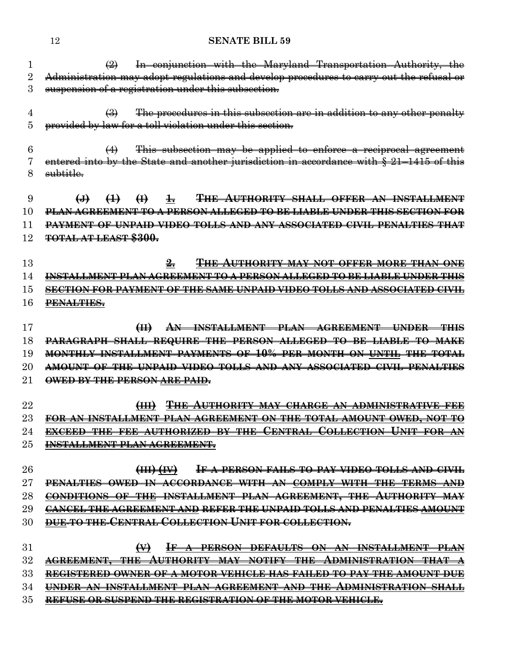|          | In conjunction with the Maryland Transportation Authority, the<br>$\left(\frac{2}{2}\right)$          |
|----------|-------------------------------------------------------------------------------------------------------|
| $\rm{2}$ | Administration may adopt regulations and develop procedures to carry out the refusal or               |
| 3        | suspension of a registration under this subsection.                                                   |
| 4        | The procedures in this subsection are in addition to any other penalty<br>$\leftrightarrow$           |
| 5        | provided by law for a toll violation under this section.                                              |
|          |                                                                                                       |
| 6        | This subsection may be applied to enforce a reciprocal agreement<br>$\leftrightarrow$                 |
| 7        | entered into by the State and another jurisdiction in accordance with $\S 21-1415$ of this            |
| 8        | <del>subtitle.</del>                                                                                  |
|          |                                                                                                       |
| 9        | <b>THE AUTHORITY SHALL OFFER AN INSTALLMENT</b><br>$\bigoplus$<br>$\bigoplus$<br>$\pm$<br>$\biguplus$ |
| 10       | <u>PLAN AGREEMENT TO A PERSON ALLEGED TO BE LIABLE UNDER THIS SECTION FOR</u>                         |
| 11       | <b>PAYMENT OF UNPAID VIDEO TOLLS AND ANY ASSOCIATED CIVIL PENALTIES THAT</b>                          |
| 12       | <b>TOTAL AT LEAST \$300.</b>                                                                          |
|          |                                                                                                       |
| 13       | $2-$<br><b>THE AUTHORITY MAY NOT OFFER MORE THAN ONE</b>                                              |
| 14       | <u>INSTALLMENT PLAN AGREEMENT TO A PERSON ALLEGED TO BE LIABLE UNDER THIS</u>                         |
| 15       | <u>SECTION FOR PAYMENT OF THE SAME UNPAID VIDEO TOLLS AND ASSOCIATED CIVIL</u>                        |
| 16       | PENALTIES.                                                                                            |
|          |                                                                                                       |
| 17       | AN INSTALLMENT PLAN AGREEMENT UNDER THIS<br>H                                                         |
| 18       | PARAGRAPH SHALL REQUIRE THE PERSON ALLEGED TO BE LIABLE TO MAKE                                       |
| 19       | MONTHLY INSTALLMENT PAYMENTS OF 10% PER MONTH ON UNTIL THE TOTAL                                      |
| 20       | AMOUNT OF THE UNPAID VIDEO TOLLS AND ANY ASSOCIATED CIVIL PENALTIES                                   |
| $\rm 21$ | OWED BY THE PERSON ARE PAID.                                                                          |
| 22       | (III) THE AUTHORITY MAY CHARGE AN ADMINISTRATIVE FEE                                                  |
| 23       | FOR AN INSTALLMENT PLAN AGREEMENT ON THE TOTAL AMOUNT OWED, NOT TO                                    |
| 24       | EXCEED THE FEE AUTHORIZED BY THE CENTRAL COLLECTION UNIT FOR AN                                       |
| $25\,$   | INSTALLMENT PLAN AGREEMENT.                                                                           |
|          |                                                                                                       |
| 26       | (HH)(W)<br><b>IF A PERSON FAILS TO PAY VIDEO TOLLS AND CIVIL</b>                                      |
| $27\,$   | PENALTHES OWED IN ACCORDANCE                                                                          |
| 28       | <del>INSTALLMENT</del>                                                                                |
| 29       | <del>CANCEL THE AGREEMENT</del><br><u>-AND REFER THE UNPAID TOLLS AND PENALTIES AMOUNT</u>            |
| 30       | <u>'ENTRAL COLLECTION UNIT FOR COLLECTION.</u>                                                        |
|          |                                                                                                       |
| 31       | $\leftrightarrow$<br><del>DEFAULTS ON AN</del>                                                        |
| $32\,$   |                                                                                                       |
| 33       |                                                                                                       |
| 34       |                                                                                                       |
| 35       | REFUSE OR SUSPEND THE REGISTRATION OF THE MOTOR VEHICLE.                                              |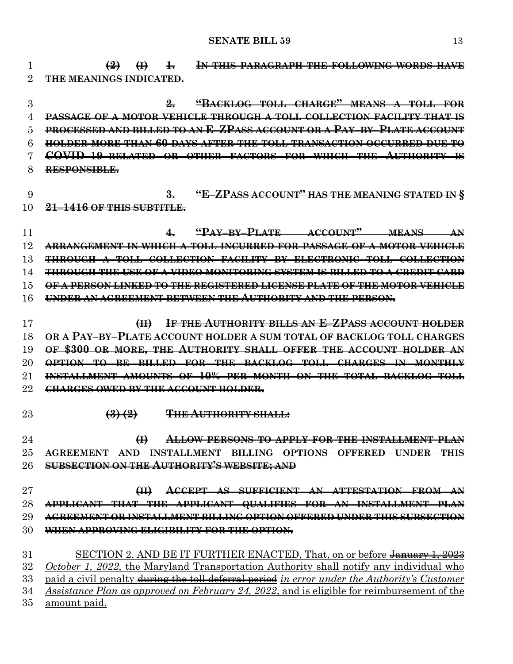**(2) (I) 1. IN THIS PARAGRAPH THE FOLLOWING WORDS HAVE THE MEANINGS INDICATED. 2. "BACKLOG TOLL CHARGE" MEANS A TOLL FOR PASSAGE OF A MOTOR VEHICLE THROUGH A TOLL COLLECTION FACILITY THAT IS PROCESSED AND BILLED TO AN E–ZPASS ACCOUNT OR A PAY–BY–PLATE ACCOUNT HOLDER MORE THAN 60 DAYS AFTER THE TOLL TRANSACTION OCCURRED DUE TO COVID–19–RELATED OR OTHER FACTORS FOR WHICH THE AUTHORITY IS RESPONSIBLE. 3. "E–ZPASS ACCOUNT" HAS THE MEANING STATED IN § 21–1416 OF THIS SUBTITLE. 4. "PAY–BY–PLATE ACCOUNT" MEANS AN ARRANGEMENT IN WHICH A TOLL INCURRED FOR PASSAGE OF A MOTOR VEHICLE THROUGH A TOLL COLLECTION FACILITY BY ELECTRONIC TOLL COLLECTION THROUGH THE USE OF A VIDEO MONITORING SYSTEM IS BILLED TO A CREDIT CARD OF A PERSON LINKED TO THE REGISTERED LICENSE PLATE OF THE MOTOR VEHICLE UNDER AN AGREEMENT BETWEEN THE AUTHORITY AND THE PERSON. (II) IF THE AUTHORITY BILLS AN E–ZPASS ACCOUNT HOLDER OR A PAY–BY–PLATE ACCOUNT HOLDER A SUM TOTAL OF BACKLOG TOLL CHARGES OF \$300 OR MORE, THE AUTHORITY SHALL OFFER THE ACCOUNT HOLDER AN OPTION TO BE BILLED FOR THE BACKLOG TOLL CHARGES IN MONTHLY INSTALLMENT AMOUNTS OF 10% PER MONTH ON THE TOTAL BACKLOG TOLL CHARGES OWED BY THE ACCOUNT HOLDER. (3) (2) THE AUTHORITY SHALL: (I) ALLOW PERSONS TO APPLY FOR THE INSTALLMENT PLAN AGREEMENT AND INSTALLMENT BILLING OPTIONS OFFERED UNDER THIS SUBSECTION ON THE AUTHORITY'S WEBSITE; AND (II) ACCEPT AS SUFFICIENT AN ATTESTATION FROM AN APPLICANT THAT THE APPLICANT QUALIFIES FOR AN INSTALLMENT PLAN AGREEMENT OR INSTALLMENT BILLING OPTION OFFERED UNDER THIS SUBSECTION WHEN APPROVING ELIGIBILITY FOR THE OPTION.** 31 SECTION 2. AND BE IT FURTHER ENACTED, That, on or before January 1, 2023 *October 1, 2022*, the Maryland Transportation Authority shall notify any individual who paid a civil penalty during the toll deferral period *in error under the Authority's Customer Assistance Plan as approved on February 24, 2022*, and is eligible for reimbursement of the amount paid.